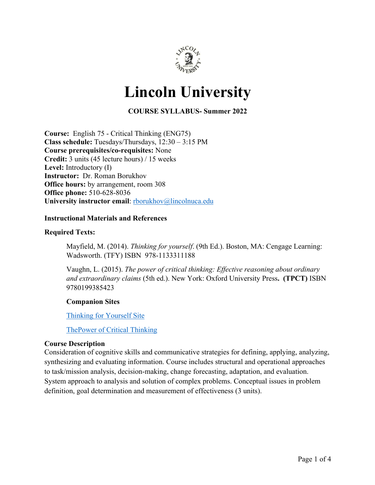

# **Lincoln University**

**COURSE SYLLABUS- Summer 2022**

**Course:** English 75 - Critical Thinking (ENG75) **Class schedule:** Tuesdays/Thursdays, 12:30 – 3:15 PM **Course prerequisites/co-requisites:** None **Credit:** 3 units (45 lecture hours) / 15 weeks **Level:** Introductory (I) **Instructor:** Dr. Roman Borukhov **Office hours:** by arrangement, room 308 **Office phone:** 510-628-8036 University instructor email: **rborukhov@lincolnuca.edu** 

#### **Instructional Materials and References**

#### **Required Texts:**

Mayfield, M. (2014). *Thinking for yourself*. (9th Ed.). Boston, MA: Cengage Learning: Wadsworth. (TFY) ISBN 978-1133311188

Vaughn, L. (2015). *The power of critical thinking: Effective reasoning about ordinary and extraordinary claims* (5th ed.). New York: Oxford University Press**. (TPCT)** ISBN 9780199385423

#### **Companion Sites**

Thinking for Yourself Site

ThePower of Critical Thinking

#### **Course Description**

Consideration of cognitive skills and communicative strategies for defining, applying, analyzing, synthesizing and evaluating information. Course includes structural and operational approaches to task/mission analysis, decision-making, change forecasting, adaptation, and evaluation. System approach to analysis and solution of complex problems. Conceptual issues in problem definition, goal determination and measurement of effectiveness (3 units).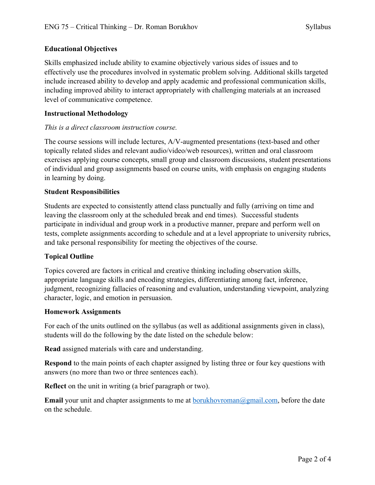# **Educational Objectives**

Skills emphasized include ability to examine objectively various sides of issues and to effectively use the procedures involved in systematic problem solving. Additional skills targeted include increased ability to develop and apply academic and professional communication skills, including improved ability to interact appropriately with challenging materials at an increased level of communicative competence.

# **Instructional Methodology**

# *This is a direct classroom instruction course.*

The course sessions will include lectures, A/V-augmented presentations (text-based and other topically related slides and relevant audio/video/web resources), written and oral classroom exercises applying course concepts, small group and classroom discussions, student presentations of individual and group assignments based on course units, with emphasis on engaging students in learning by doing.

# **Student Responsibilities**

Students are expected to consistently attend class punctually and fully (arriving on time and leaving the classroom only at the scheduled break and end times). Successful students participate in individual and group work in a productive manner, prepare and perform well on tests, complete assignments according to schedule and at a level appropriate to university rubrics, and take personal responsibility for meeting the objectives of the course.

# **Topical Outline**

Topics covered are factors in critical and creative thinking including observation skills, appropriate language skills and encoding strategies, differentiating among fact, inference, judgment, recognizing fallacies of reasoning and evaluation, understanding viewpoint, analyzing character, logic, and emotion in persuasion.

#### **Homework Assignments**

For each of the units outlined on the syllabus (as well as additional assignments given in class), students will do the following by the date listed on the schedule below:

**Read** assigned materials with care and understanding.

**Respond** to the main points of each chapter assigned by listing three or four key questions with answers (no more than two or three sentences each).

**Reflect** on the unit in writing (a brief paragraph or two).

**Email** your unit and chapter assignments to me at borukhovroman@gmail.com, before the date on the schedule.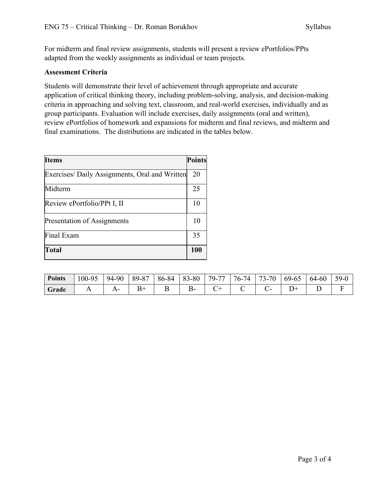For midterm and final review assignments, students will present a review ePortfolios/PPts adapted from the weekly assignments as individual or team projects.

### **Assessment Criteria**

Students will demonstrate their level of achievement through appropriate and accurate application of critical thinking theory, including problem-solving, analysis, and decision-making criteria in approaching and solving text, classroom, and real-world exercises, individually and as group participants. Evaluation will include exercises, daily assignments (oral and written), review ePortfolios of homework and expansions for midterm and final reviews, and midterm and final examinations. The distributions are indicated in the tables below.

| <b>Items</b>                                   | <b>Points</b> |
|------------------------------------------------|---------------|
| Exercises/ Daily Assignments, Oral and Written | 20            |
| Midterm                                        | 25            |
| Review ePortfolio/PPt I, II                    | 10            |
| Presentation of Assignments                    | 10            |
| Final Exam                                     | 35            |
| <b>Total</b>                                   | <b>100</b>    |

| <b>Points</b> | 100-95 | 94-90 | 89-87 | 86-84 | 83-80 | 79.<br>77 | 14<br>$/6-$ | 73-70 | 69-65 | 64-60 | $59-0$ |
|---------------|--------|-------|-------|-------|-------|-----------|-------------|-------|-------|-------|--------|
| Grade         | . .    |       | ∸     |       | ╮-    | ◡         |             |       |       |       |        |